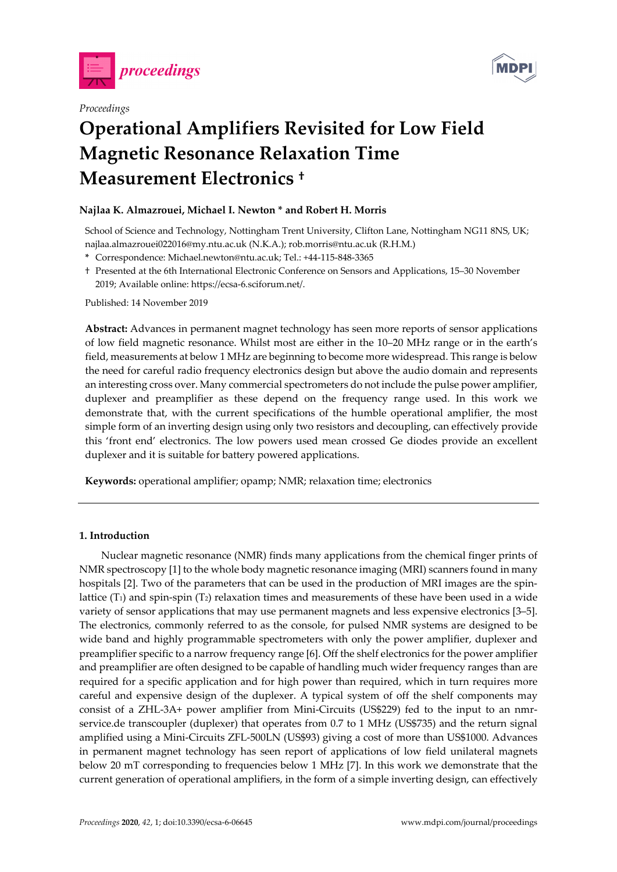



# *Proceedings*  **Operational Amplifiers Revisited for Low Field Magnetic Resonance Relaxation Time Measurement Electronics †**

## **Najlaa K. Almazrouei, Michael I. Newton \* and Robert H. Morris**

School of Science and Technology, Nottingham Trent University, Clifton Lane, Nottingham NG11 8NS, UK; najlaa.almazrouei022016@my.ntu.ac.uk (N.K.A.); rob.morris@ntu.ac.uk (R.H.M.)

- **\*** Correspondence: Michael.newton@ntu.ac.uk; Tel.: +44-115-848-3365
- † Presented at the 6th International Electronic Conference on Sensors and Applications, 15–30 November 2019; Available online: https://ecsa-6.sciforum.net/.

Published: 14 November 2019

**Abstract:** Advances in permanent magnet technology has seen more reports of sensor applications of low field magnetic resonance. Whilst most are either in the 10–20 MHz range or in the earth's field, measurements at below 1 MHz are beginning to become more widespread. This range is below the need for careful radio frequency electronics design but above the audio domain and represents an interesting cross over. Many commercial spectrometers do not include the pulse power amplifier, duplexer and preamplifier as these depend on the frequency range used. In this work we demonstrate that, with the current specifications of the humble operational amplifier, the most simple form of an inverting design using only two resistors and decoupling, can effectively provide this 'front end' electronics. The low powers used mean crossed Ge diodes provide an excellent duplexer and it is suitable for battery powered applications.

**Keywords:** operational amplifier; opamp; NMR; relaxation time; electronics

## **1. Introduction**

Nuclear magnetic resonance (NMR) finds many applications from the chemical finger prints of NMR spectroscopy [1] to the whole body magnetic resonance imaging (MRI) scanners found in many hospitals [2]. Two of the parameters that can be used in the production of MRI images are the spinlattice  $(T_1)$  and spin-spin  $(T_2)$  relaxation times and measurements of these have been used in a wide variety of sensor applications that may use permanent magnets and less expensive electronics [3–5]. The electronics, commonly referred to as the console, for pulsed NMR systems are designed to be wide band and highly programmable spectrometers with only the power amplifier, duplexer and preamplifier specific to a narrow frequency range [6]. Off the shelf electronics for the power amplifier and preamplifier are often designed to be capable of handling much wider frequency ranges than are required for a specific application and for high power than required, which in turn requires more careful and expensive design of the duplexer. A typical system of off the shelf components may consist of a ZHL-3A+ power amplifier from Mini-Circuits (US\$229) fed to the input to an nmrservice.de transcoupler (duplexer) that operates from 0.7 to 1 MHz (US\$735) and the return signal amplified using a Mini-Circuits ZFL-500LN (US\$93) giving a cost of more than US\$1000. Advances in permanent magnet technology has seen report of applications of low field unilateral magnets below 20 mT corresponding to frequencies below 1 MHz [7]. In this work we demonstrate that the current generation of operational amplifiers, in the form of a simple inverting design, can effectively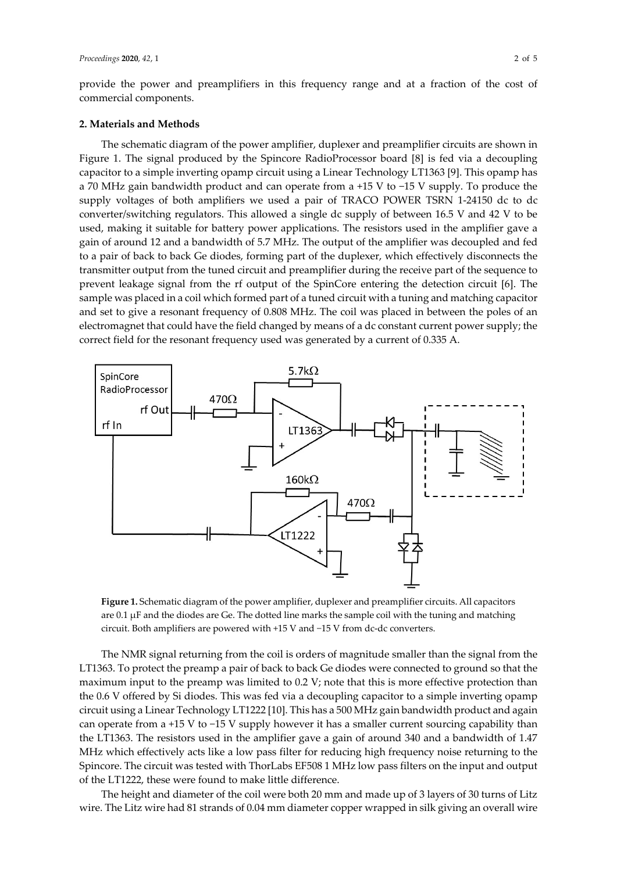provide the power and preamplifiers in this frequency range and at a fraction of the cost of commercial components.

#### **2. Materials and Methods**

The schematic diagram of the power amplifier, duplexer and preamplifier circuits are shown in Figure 1. The signal produced by the Spincore RadioProcessor board [8] is fed via a decoupling capacitor to a simple inverting opamp circuit using a Linear Technology LT1363 [9]. This opamp has a 70 MHz gain bandwidth product and can operate from a +15 V to −15 V supply. To produce the supply voltages of both amplifiers we used a pair of TRACO POWER TSRN 1-24150 dc to dc converter/switching regulators. This allowed a single dc supply of between 16.5 V and 42 V to be used, making it suitable for battery power applications. The resistors used in the amplifier gave a gain of around 12 and a bandwidth of 5.7 MHz. The output of the amplifier was decoupled and fed to a pair of back to back Ge diodes, forming part of the duplexer, which effectively disconnects the transmitter output from the tuned circuit and preamplifier during the receive part of the sequence to prevent leakage signal from the rf output of the SpinCore entering the detection circuit [6]. The sample was placed in a coil which formed part of a tuned circuit with a tuning and matching capacitor and set to give a resonant frequency of 0.808 MHz. The coil was placed in between the poles of an electromagnet that could have the field changed by means of a dc constant current power supply; the correct field for the resonant frequency used was generated by a current of 0.335 A.



**Figure 1.** Schematic diagram of the power amplifier, duplexer and preamplifier circuits. All capacitors are 0.1 µF and the diodes are Ge. The dotted line marks the sample coil with the tuning and matching circuit. Both amplifiers are powered with +15 V and −15 V from dc-dc converters.

The NMR signal returning from the coil is orders of magnitude smaller than the signal from the LT1363. To protect the preamp a pair of back to back Ge diodes were connected to ground so that the maximum input to the preamp was limited to 0.2 V; note that this is more effective protection than the 0.6 V offered by Si diodes. This was fed via a decoupling capacitor to a simple inverting opamp circuit using a Linear Technology LT1222 [10]. This has a 500 MHz gain bandwidth product and again can operate from a +15 V to −15 V supply however it has a smaller current sourcing capability than the LT1363. The resistors used in the amplifier gave a gain of around 340 and a bandwidth of 1.47 MHz which effectively acts like a low pass filter for reducing high frequency noise returning to the Spincore. The circuit was tested with ThorLabs EF508 1 MHz low pass filters on the input and output of the LT1222, these were found to make little difference.

The height and diameter of the coil were both 20 mm and made up of 3 layers of 30 turns of Litz wire. The Litz wire had 81 strands of 0.04 mm diameter copper wrapped in silk giving an overall wire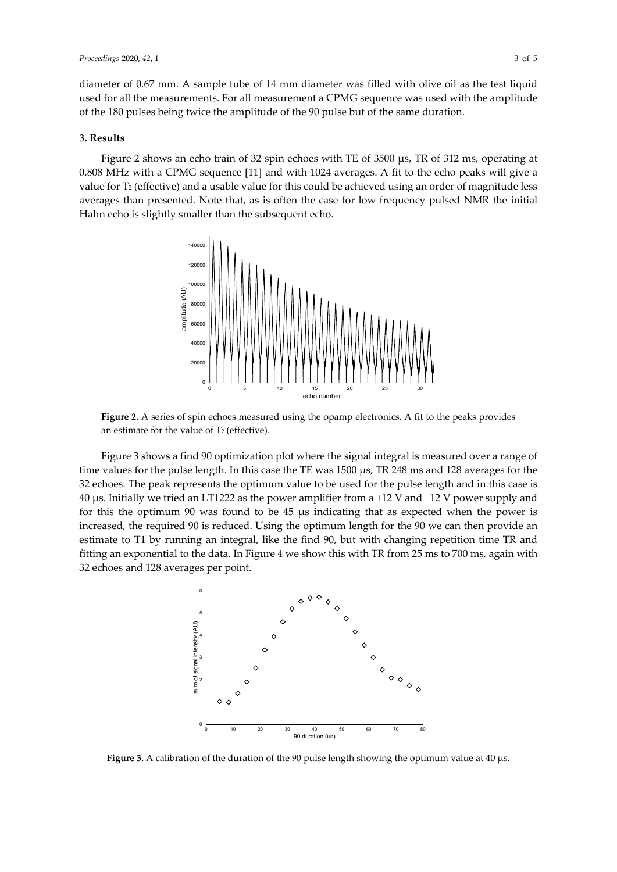diameter of 0.67 mm. A sample tube of 14 mm diameter was filled with olive oil as the test liquid used for all the measurements. For all measurement a CPMG sequence was used with the amplitude of the 180 pulses being twice the amplitude of the 90 pulse but of the same duration.

#### **3. Results**

Figure 2 shows an echo train of 32 spin echoes with TE of 3500 µs, TR of 312 ms, operating at 0.808 MHz with a CPMG sequence [11] and with 1024 averages. A fit to the echo peaks will give a value for T<sub>2</sub> (effective) and a usable value for this could be achieved using an order of magnitude less averages than presented. Note that, as is often the case for low frequency pulsed NMR the initial Hahn echo is slightly smaller than the subsequent echo.



**Figure 2.** A series of spin echoes measured using the opamp electronics. A fit to the peaks provides an estimate for the value of  $T_2$  (effective).

Figure 3 shows a find 90 optimization plot where the signal integral is measured over a range of time values for the pulse length. In this case the TE was 1500 µs, TR 248 ms and 128 averages for the 32 echoes. The peak represents the optimum value to be used for the pulse length and in this case is 40 µs. Initially we tried an LT1222 as the power amplifier from a +12 V and −12 V power supply and for this the optimum 90 was found to be  $45 \mu s$  indicating that as expected when the power is increased, the required 90 is reduced. Using the optimum length for the 90 we can then provide an estimate to T1 by running an integral, like the find 90, but with changing repetition time TR and fitting an exponential to the data. In Figure 4 we show this with TR from 25 ms to 700 ms, again with 32 echoes and 128 averages per point.



**Figure 3.** A calibration of the duration of the 90 pulse length showing the optimum value at 40 µs.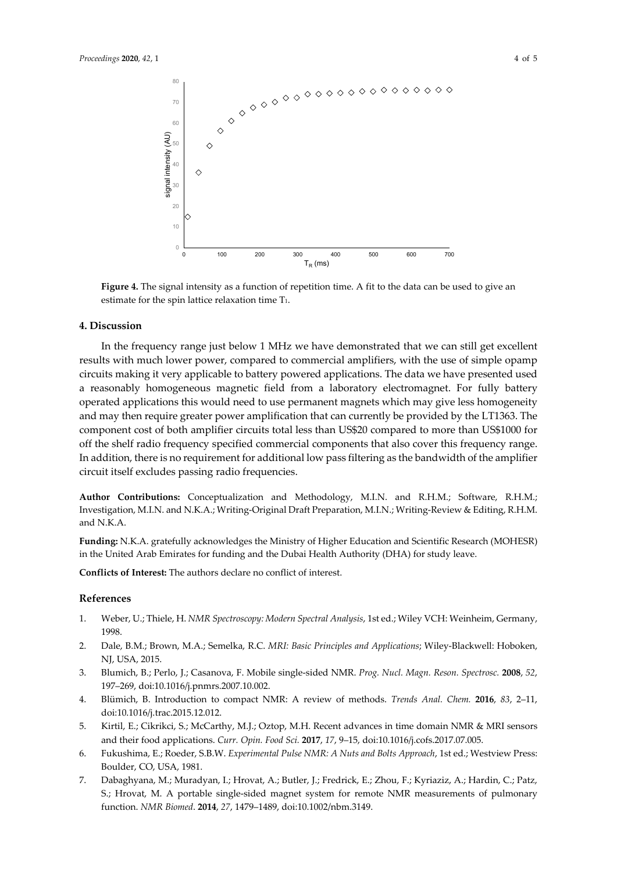

**Figure 4.** The signal intensity as a function of repetition time. A fit to the data can be used to give an estimate for the spin lattice relaxation time T1.

### **4. Discussion**

In the frequency range just below 1 MHz we have demonstrated that we can still get excellent results with much lower power, compared to commercial amplifiers, with the use of simple opamp circuits making it very applicable to battery powered applications. The data we have presented used a reasonably homogeneous magnetic field from a laboratory electromagnet. For fully battery operated applications this would need to use permanent magnets which may give less homogeneity and may then require greater power amplification that can currently be provided by the LT1363. The component cost of both amplifier circuits total less than US\$20 compared to more than US\$1000 for off the shelf radio frequency specified commercial components that also cover this frequency range. In addition, there is no requirement for additional low pass filtering as the bandwidth of the amplifier circuit itself excludes passing radio frequencies.

**Author Contributions:** Conceptualization and Methodology, M.I.N. and R.H.M.; Software, R.H.M.; Investigation, M.I.N. and N.K.A.; Writing-Original Draft Preparation, M.I.N.; Writing-Review & Editing, R.H.M. and N.K.A.

**Funding:** N.K.A. gratefully acknowledges the Ministry of Higher Education and Scientific Research (MOHESR) in the United Arab Emirates for funding and the Dubai Health Authority (DHA) for study leave.

**Conflicts of Interest:** The authors declare no conflict of interest.

#### **References**

- 1. Weber, U.; Thiele, H. *NMR Spectroscopy: Modern Spectral Analysis*, 1st ed.; Wiley VCH: Weinheim, Germany, 1998.
- 2. Dale, B.M.; Brown, M.A.; Semelka, R.C. *MRI: Basic Principles and Applications*; Wiley-Blackwell: Hoboken, NJ, USA, 2015.
- 3. Blumich, B.; Perlo, J.; Casanova, F. Mobile single-sided NMR. *Prog. Nucl. Magn. Reson. Spectrosc.* **2008**, *52*, 197–269, doi:10.1016/j.pnmrs.2007.10.002.
- 4. Blümich, B. Introduction to compact NMR: A review of methods. *Trends Anal. Chem.* **2016**, *83*, 2–11, doi:10.1016/j.trac.2015.12.012.
- 5. Kirtil, E.; Cikrikci, S.; McCarthy, M.J.; Oztop, M.H. Recent advances in time domain NMR & MRI sensors and their food applications. *Curr. Opin. Food Sci.* **2017**, *17*, 9–15, doi:10.1016/j.cofs.2017.07.005.
- 6. Fukushima, E.; Roeder, S.B.W. *Experimental Pulse NMR: A Nuts and Bolts Approach*, 1st ed.; Westview Press: Boulder, CO, USA, 1981.
- 7. Dabaghyana, M.; Muradyan, I.; Hrovat, A.; Butler, J.; Fredrick, E.; Zhou, F.; Kyriaziz, A.; Hardin, C.; Patz, S.; Hrovat, M. A portable single-sided magnet system for remote NMR measurements of pulmonary function. *NMR Biomed*. **2014**, *27*, 1479–1489, doi:10.1002/nbm.3149.